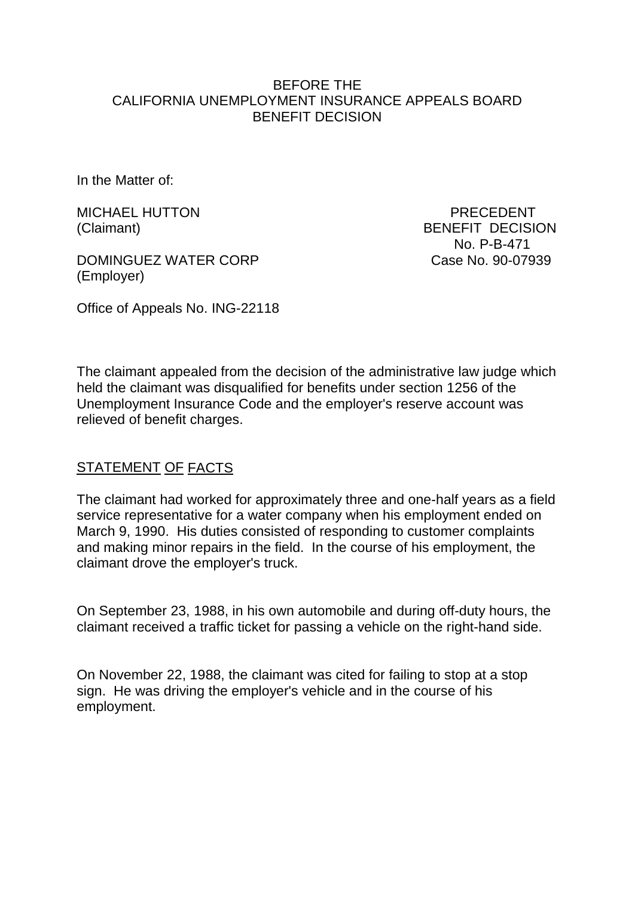#### BEFORE THE CALIFORNIA UNEMPLOYMENT INSURANCE APPEALS BOARD BENEFIT DECISION

In the Matter of:

MICHAEL HUTTON PRECEDENT

DOMINGUEZ WATER CORP Case No. 90-07939 (Employer)

Office of Appeals No. ING-22118

(Claimant) BENEFIT DECISION No. P-B-471

The claimant appealed from the decision of the administrative law judge which held the claimant was disqualified for benefits under section 1256 of the Unemployment Insurance Code and the employer's reserve account was

relieved of benefit charges.

# STATEMENT OF FACTS

The claimant had worked for approximately three and one-half years as a field service representative for a water company when his employment ended on March 9, 1990. His duties consisted of responding to customer complaints and making minor repairs in the field. In the course of his employment, the claimant drove the employer's truck.

On September 23, 1988, in his own automobile and during off-duty hours, the claimant received a traffic ticket for passing a vehicle on the right-hand side.

On November 22, 1988, the claimant was cited for failing to stop at a stop sign. He was driving the employer's vehicle and in the course of his employment.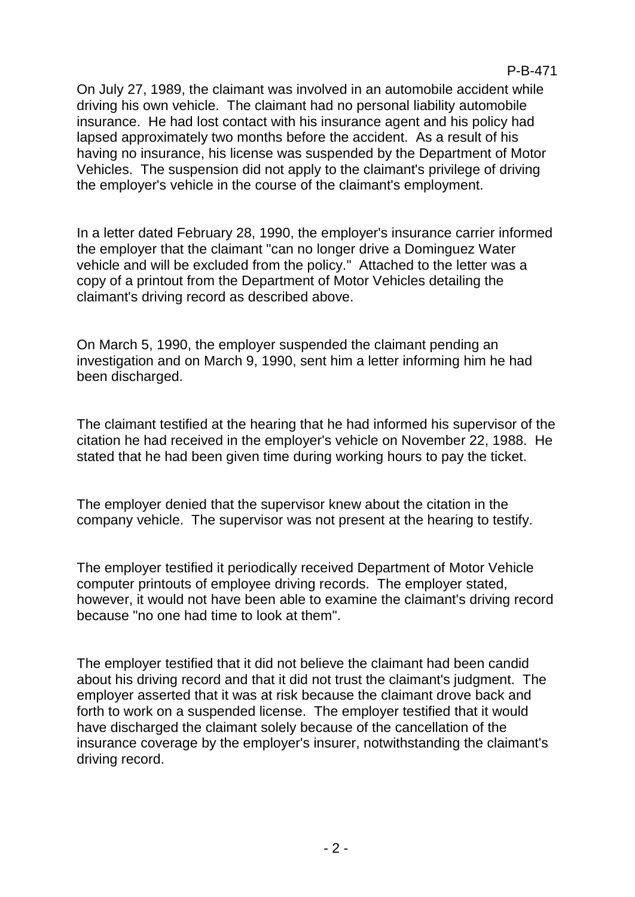On July 27, 1989, the claimant was involved in an automobile accident while driving his own vehicle. The claimant had no personal liability automobile insurance. He had lost contact with his insurance agent and his policy had lapsed approximately two months before the accident. As a result of his having no insurance, his license was suspended by the Department of Motor Vehicles. The suspension did not apply to the claimant's privilege of driving the employer's vehicle in the course of the claimant's employment.

In a letter dated February 28, 1990, the employer's insurance carrier informed the employer that the claimant "can no longer drive a Dominguez Water vehicle and will be excluded from the policy." Attached to the letter was a copy of a printout from the Department of Motor Vehicles detailing the claimant's driving record as described above.

On March 5, 1990, the employer suspended the claimant pending an investigation and on March 9, 1990, sent him a letter informing him he had been discharged.

The claimant testified at the hearing that he had informed his supervisor of the citation he had received in the employer's vehicle on November 22, 1988. He stated that he had been given time during working hours to pay the ticket.

The employer denied that the supervisor knew about the citation in the company vehicle. The supervisor was not present at the hearing to testify.

The employer testified it periodically received Department of Motor Vehicle computer printouts of employee driving records. The employer stated, however, it would not have been able to examine the claimant's driving record because "no one had time to look at them".

The employer testified that it did not believe the claimant had been candid about his driving record and that it did not trust the claimant's judgment. The employer asserted that it was at risk because the claimant drove back and forth to work on a suspended license. The employer testified that it would have discharged the claimant solely because of the cancellation of the insurance coverage by the employer's insurer, notwithstanding the claimant's driving record.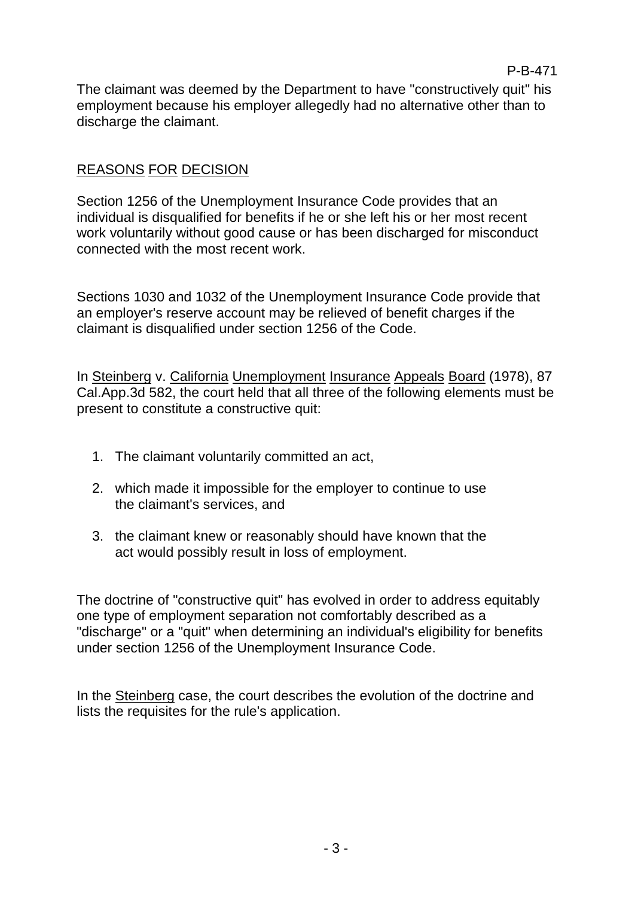The claimant was deemed by the Department to have "constructively quit" his employment because his employer allegedly had no alternative other than to discharge the claimant.

## REASONS FOR DECISION

Section 1256 of the Unemployment Insurance Code provides that an individual is disqualified for benefits if he or she left his or her most recent work voluntarily without good cause or has been discharged for misconduct connected with the most recent work.

Sections 1030 and 1032 of the Unemployment Insurance Code provide that an employer's reserve account may be relieved of benefit charges if the claimant is disqualified under section 1256 of the Code.

In Steinberg v. California Unemployment Insurance Appeals Board (1978), 87 Cal.App.3d 582, the court held that all three of the following elements must be present to constitute a constructive quit:

- 1. The claimant voluntarily committed an act,
- 2. which made it impossible for the employer to continue to use the claimant's services, and
- 3. the claimant knew or reasonably should have known that the act would possibly result in loss of employment.

The doctrine of "constructive quit" has evolved in order to address equitably one type of employment separation not comfortably described as a "discharge" or a "quit" when determining an individual's eligibility for benefits under section 1256 of the Unemployment Insurance Code.

In the Steinberg case, the court describes the evolution of the doctrine and lists the requisites for the rule's application.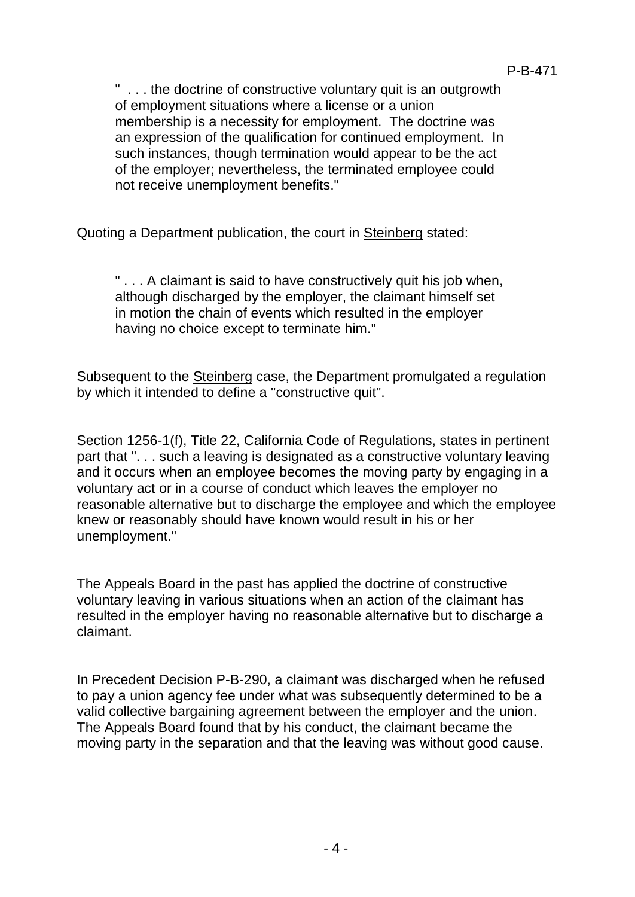" . . . the doctrine of constructive voluntary quit is an outgrowth of employment situations where a license or a union membership is a necessity for employment. The doctrine was an expression of the qualification for continued employment. In such instances, though termination would appear to be the act of the employer; nevertheless, the terminated employee could not receive unemployment benefits."

Quoting a Department publication, the court in Steinberg stated:

"... A claimant is said to have constructively quit his job when, although discharged by the employer, the claimant himself set in motion the chain of events which resulted in the employer having no choice except to terminate him."

Subsequent to the Steinberg case, the Department promulgated a regulation by which it intended to define a "constructive quit".

Section 1256-1(f), Title 22, California Code of Regulations, states in pertinent part that ". . . such a leaving is designated as a constructive voluntary leaving and it occurs when an employee becomes the moving party by engaging in a voluntary act or in a course of conduct which leaves the employer no reasonable alternative but to discharge the employee and which the employee knew or reasonably should have known would result in his or her unemployment."

The Appeals Board in the past has applied the doctrine of constructive voluntary leaving in various situations when an action of the claimant has resulted in the employer having no reasonable alternative but to discharge a claimant.

In Precedent Decision P-B-290, a claimant was discharged when he refused to pay a union agency fee under what was subsequently determined to be a valid collective bargaining agreement between the employer and the union. The Appeals Board found that by his conduct, the claimant became the moving party in the separation and that the leaving was without good cause.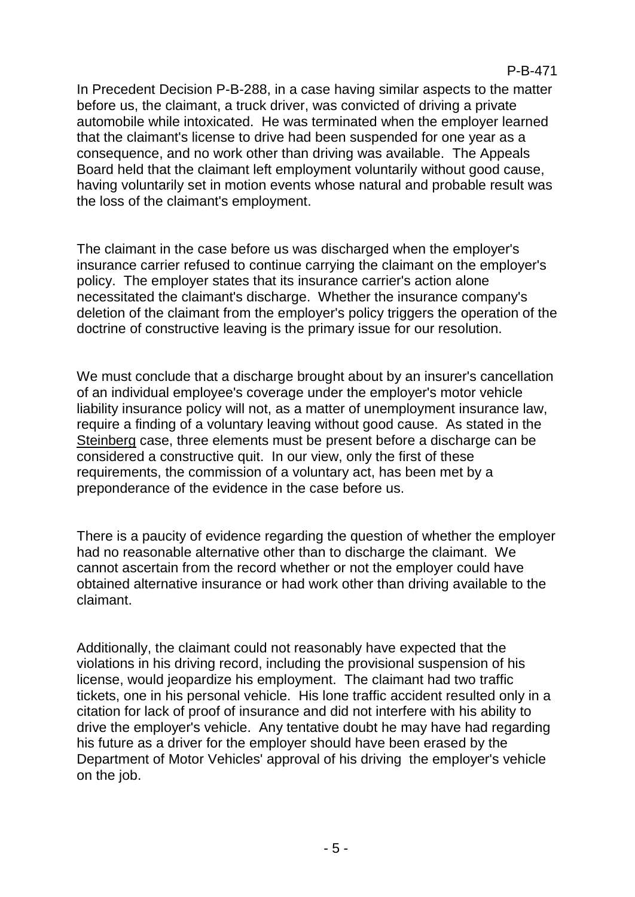In Precedent Decision P-B-288, in a case having similar aspects to the matter before us, the claimant, a truck driver, was convicted of driving a private automobile while intoxicated. He was terminated when the employer learned that the claimant's license to drive had been suspended for one year as a consequence, and no work other than driving was available. The Appeals Board held that the claimant left employment voluntarily without good cause, having voluntarily set in motion events whose natural and probable result was the loss of the claimant's employment.

The claimant in the case before us was discharged when the employer's insurance carrier refused to continue carrying the claimant on the employer's policy. The employer states that its insurance carrier's action alone necessitated the claimant's discharge. Whether the insurance company's deletion of the claimant from the employer's policy triggers the operation of the doctrine of constructive leaving is the primary issue for our resolution.

We must conclude that a discharge brought about by an insurer's cancellation of an individual employee's coverage under the employer's motor vehicle liability insurance policy will not, as a matter of unemployment insurance law, require a finding of a voluntary leaving without good cause. As stated in the Steinberg case, three elements must be present before a discharge can be considered a constructive quit. In our view, only the first of these requirements, the commission of a voluntary act, has been met by a preponderance of the evidence in the case before us.

There is a paucity of evidence regarding the question of whether the employer had no reasonable alternative other than to discharge the claimant. We cannot ascertain from the record whether or not the employer could have obtained alternative insurance or had work other than driving available to the claimant.

Additionally, the claimant could not reasonably have expected that the violations in his driving record, including the provisional suspension of his license, would jeopardize his employment. The claimant had two traffic tickets, one in his personal vehicle. His lone traffic accident resulted only in a citation for lack of proof of insurance and did not interfere with his ability to drive the employer's vehicle. Any tentative doubt he may have had regarding his future as a driver for the employer should have been erased by the Department of Motor Vehicles' approval of his driving the employer's vehicle on the job.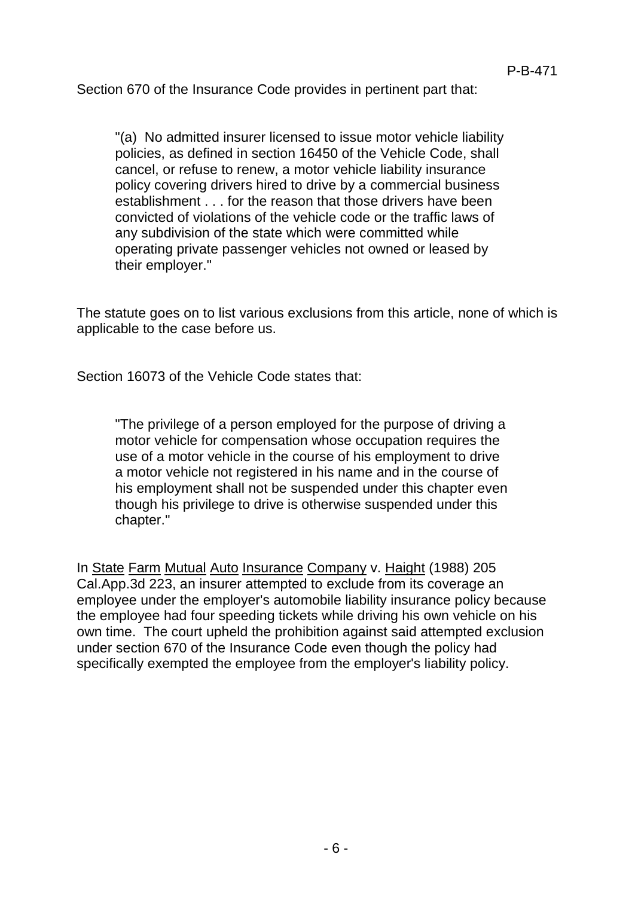Section 670 of the Insurance Code provides in pertinent part that:

"(a) No admitted insurer licensed to issue motor vehicle liability policies, as defined in section 16450 of the Vehicle Code, shall cancel, or refuse to renew, a motor vehicle liability insurance policy covering drivers hired to drive by a commercial business establishment . . . for the reason that those drivers have been convicted of violations of the vehicle code or the traffic laws of any subdivision of the state which were committed while operating private passenger vehicles not owned or leased by their employer."

The statute goes on to list various exclusions from this article, none of which is applicable to the case before us.

Section 16073 of the Vehicle Code states that:

"The privilege of a person employed for the purpose of driving a motor vehicle for compensation whose occupation requires the use of a motor vehicle in the course of his employment to drive a motor vehicle not registered in his name and in the course of his employment shall not be suspended under this chapter even though his privilege to drive is otherwise suspended under this chapter."

In State Farm Mutual Auto Insurance Company v. Haight (1988) 205 Cal.App.3d 223, an insurer attempted to exclude from its coverage an employee under the employer's automobile liability insurance policy because the employee had four speeding tickets while driving his own vehicle on his own time. The court upheld the prohibition against said attempted exclusion under section 670 of the Insurance Code even though the policy had specifically exempted the employee from the employer's liability policy.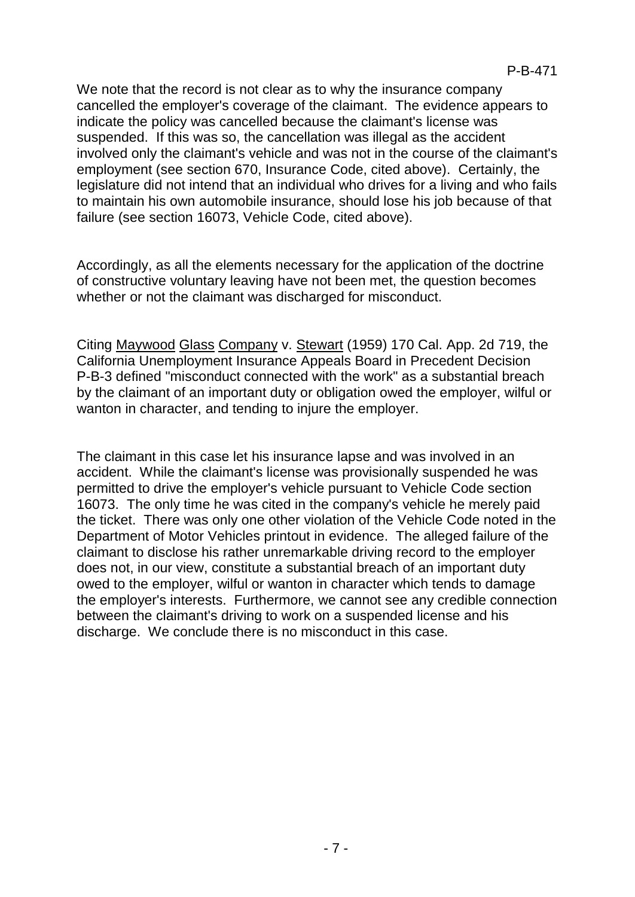We note that the record is not clear as to why the insurance company cancelled the employer's coverage of the claimant. The evidence appears to indicate the policy was cancelled because the claimant's license was suspended. If this was so, the cancellation was illegal as the accident involved only the claimant's vehicle and was not in the course of the claimant's employment (see section 670, Insurance Code, cited above). Certainly, the legislature did not intend that an individual who drives for a living and who fails to maintain his own automobile insurance, should lose his job because of that failure (see section 16073, Vehicle Code, cited above).

Accordingly, as all the elements necessary for the application of the doctrine of constructive voluntary leaving have not been met, the question becomes whether or not the claimant was discharged for misconduct.

Citing Maywood Glass Company v. Stewart (1959) 170 Cal. App. 2d 719, the California Unemployment Insurance Appeals Board in Precedent Decision P-B-3 defined "misconduct connected with the work" as a substantial breach by the claimant of an important duty or obligation owed the employer, wilful or wanton in character, and tending to injure the employer.

The claimant in this case let his insurance lapse and was involved in an accident. While the claimant's license was provisionally suspended he was permitted to drive the employer's vehicle pursuant to Vehicle Code section 16073. The only time he was cited in the company's vehicle he merely paid the ticket. There was only one other violation of the Vehicle Code noted in the Department of Motor Vehicles printout in evidence. The alleged failure of the claimant to disclose his rather unremarkable driving record to the employer does not, in our view, constitute a substantial breach of an important duty owed to the employer, wilful or wanton in character which tends to damage the employer's interests. Furthermore, we cannot see any credible connection between the claimant's driving to work on a suspended license and his discharge. We conclude there is no misconduct in this case.